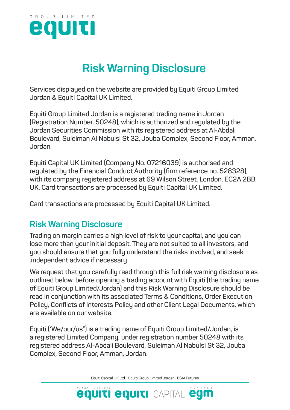

# **Risk Warning Disclosure**

**Services displayed on the website are provided by Equiti Group Limited Jordan & Equiti Capital UK Limited.**

**Equiti Group Limited Jordan is a registered trading name in Jordan (Registration Number. 50248), which is authorized and regulated by the Jordan Securities Commission with its registered address at Al-Abdali Boulevard, Suleiman Al Nabulsi St 32, Jouba Complex, Second Floor, Amman, Jordan**.

**Equiti Capital UK Limited (Company No. 07216039) is authorised and regulated by the Financial Conduct Authority (firm reference no. 528328), with its company registered address at 69 Wilson Street, London, EC2A 2BB, UK. Card transactions are processed by Equiti Capital UK Limited.**

**Card transactions are processed by Equiti Capital UK Limited.**

# **Risk Warning Disclosure**

**Trading on margin carries a high level of risk to your capital, and you can lose more than your initial deposit. They are not suited to all investors, and you should ensure that you fully understand the risks involved, and seek .independent advice if necessary**

**We request that you carefully read through this full risk warning disclosure as outlined below, before opening a trading account with Equiti (the trading name of Equiti Group Limited/Jordan) and this Risk Warning Disclosure should be read in conjunction with its associated Terms & Conditions, Order Execution Policy, Conflicts of Interests Policy and other Client Legal Documents, which are available on our website.** 

**Equiti ('We/our/us") is a trading name of Equiti Group Limited/Jordan, is a registered Limited Company, under registration number 50248 with its registered address Al-Abdali Boulevard, Suleiman Al Nabulsi St 32, Jouba Complex, Second Floor, Amman, Jordan.**

Equiti Capital UK Ltd. | Equiti Group Limited Jordan | EGM Futures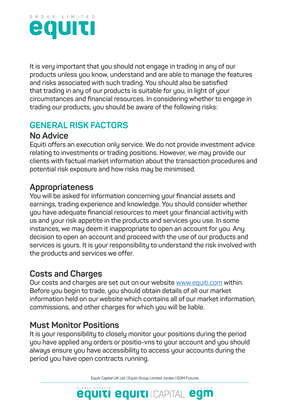

**It is very important that you should not engage in trading in any of our products unless you know, understand and are able to manage the features and risks associated with such trading. You should also be satisfied that trading in any of our products is suitable for you, in light of your circumstances and financial resources. In considering whether to engage in trading our products, you should be aware of the following risks:**

# **GENERAL RISK FACTORS**

# **No Advice**

**Equiti offers an execution only service. We do not provide investment advice relating to investments or trading positions. However, we may provide our clients with factual market information about the transaction procedures and potential risk exposure and how risks may be minimised.**

# **Appropriateness**

**You will be asked for information concerning your financial assets and earnings, trading experience and knowledge. You should consider whether you have adequate financial resources to meet your financial activity with us and your risk appetite in the products and services you use. In some instances, we may deem it inappropriate to open an account for you. Any decision to open an account and proceed with the use of our products and services is yours. It is your responsibility to understand the risk involved with the products and services we offer.** 

# **Costs and Charges**

**Our costs and charges are set out on our website** www.equiti.com **within. Before you begin to trade, you should obtain details of all our market information held on our website which contains all of our market information, commissions, and other charges for which you will be liable.**

# **Must Monitor Positions**

**It is your responsibility to closely monitor your positions during the period you have applied any orders or positio-vns to your account and you should always ensure you have accessibility to access your accounts during the period you have open contracts running.**

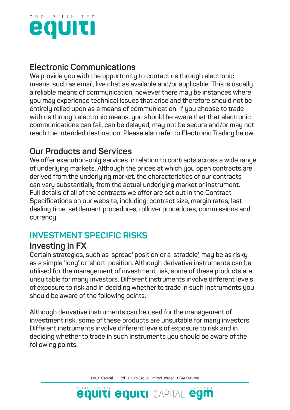

# **Electronic Communications**

**We provide you with the opportunity to contact us through electronic means, such as email, live chat as available and/or applicable. This is usually a reliable means of communication, however there may be instances where you may experience technical issues that arise and therefore should not be entirely relied upon as a means of communication. If you choose to trade with us through electronic means, you should be aware that that electronic communications can fail, can be delayed, may not be secure and/or may not reach the intended destination. Please also refer to Electronic Trading below.**

# **Our Products and Services**

**We offer execution-only services in relation to contracts across a wide range of underlying markets. Although the prices at which you open contracts are derived from the underlying market, the characteristics of our contracts can vary substantially from the actual underlying market or instrument. Full details of all of the contracts we offer are set out in the Contract Specifications on our website, including: contract size, margin rates, last dealing time, settlement procedures, rollover procedures, commissions and currency.**

# **INVESTMENT SPECIFIC RISKS**

#### **Investing in FX**

**Certain strategies, such as 'spread' position or a 'straddle', may be as risky as a simple 'long' or 'short' position. Although derivative instruments can be utilised for the management of investment risk, some of these products are unsuitable for many investors. Different instruments involve different levels of exposure to risk and in deciding whether to trade in such instruments you should be aware of the following points:**

**Although derivative instruments can be used for the management of investment risk, some of these products are unsuitable for many investors. Different instruments involve different levels of exposure to risk and in deciding whether to trade in such instruments you should be aware of the following points:**

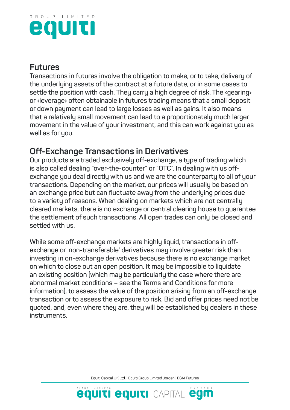

#### **Futures**

**Transactions in futures involve the obligation to make, or to take, delivery of the underlying assets of the contract at a future date, or in some cases to settle the position with cash. They carry a high degree of risk. The ‹gearing› or ‹leverage› often obtainable in futures trading means that a small deposit or down payment can lead to large losses as well as gains. It also means that a relatively small movement can lead to a proportionately much larger movement in the value of your investment, and this can work against you as well as for you.**

# **Off-Exchange Transactions in Derivatives**

**Our products are traded exclusively off-exchange, a type of trading which is also called dealing "over-the-counter" or "OTC". In dealing with us offexchange you deal directly with us and we are the counterparty to all of your transactions. Depending on the market, our prices will usually be based on an exchange price but can fluctuate away from the underlying prices due to a variety of reasons. When dealing on markets which are not centrally cleared markets, there is no exchange or central clearing house to guarantee the settlement of such transactions. All open trades can only be closed and settled with us.**

**While some off-exchange markets are highly liquid, transactions in offexchange or 'non-transferable' derivatives may involve greater risk than investing in on-exchange derivatives because there is no exchange market on which to close out an open position. It may be impossible to liquidate an existing position (which may be particularly the case where there are abnormal market conditions – see the Terms and Conditions for more information), to assess the value of the position arising from an off-exchange transaction or to assess the exposure to risk. Bid and offer prices need not be quoted, and, even where they are, they will be established by dealers in these instruments.**

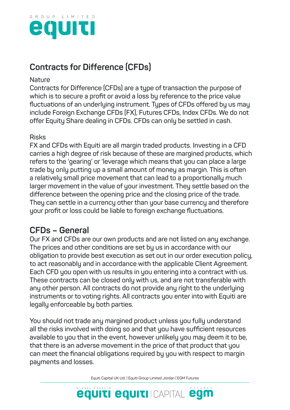

# **Contracts for Difference (CFDs)**

#### **Nature**

**Contracts for Difference (CFDs) are a type of transaction the purpose of which is to secure a profit or avoid a loss by reference to the price value fluctuations of an underlying instrument. Types of CFDs offered by us may include Foreign Exchange CFDs (FX), Futures CFDs, Index CFDs. We do not offer Equity Share dealing in CFDs. CFDs can only be settled in cash.**

#### **Risks**

**FX and CFDs with Equiti are all margin traded products. Investing in a CFD carries a high degree of risk because of these are margined products, which refers to the 'gearing' or 'leverage which means that you can place a large trade by only putting up a small amount of money as margin. This is often a relatively small price movement that can lead to a proportionally much larger movement in the value of your investment. They settle based on the difference between the opening price and the closing price of the trade. They can settle in a currency other than your base currency and therefore your profit or loss could be liable to foreign exchange fluctuations.** 

#### **CFDs – General**

**Our FX and CFDs are our own products and are not listed on any exchange. The prices and other conditions are set by us in accordance with our obligation to provide best execution as set out in our order execution policy, to act reasonably and in accordance with the applicable Client Agreement. Each CFD you open with us results in you entering into a contract with us. These contracts can be closed only with us, and are not transferable with any other person. All contracts do not provide any right to the underlying instruments or to voting rights. All contracts you enter into with Equiti are legally enforceable by both parties.**

**You should not trade any margined product unless you fully understand all the risks involved with doing so and that you have sufficient resources available to you that in the event, however unlikely you may deem it to be, that there is an adverse movement in the price of that product that you can meet the financial obligations required by you with respect to margin payments and losses.**

Equiti Capital UK Ltd. | Equiti Group Limited Jordan | EGM Futures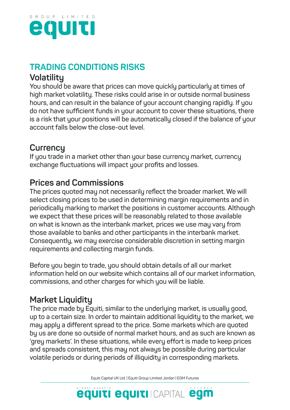

# **TRADING CONDITIONS RISKS**

#### **Volatility**

**You should be aware that prices can move quickly particularly at times of high market volatility. These risks could arise in or outside normal business hours, and can result in the balance of your account changing rapidly. If you do not have sufficient funds in your account to cover these situations, there is a risk that your positions will be automatically closed if the balance of your account falls below the close-out level.** 

# **Currency**

**If you trade in a market other than your base currency market, currency exchange fluctuations will impact your profits and losses.**

# **Prices and Commissions**

**The prices quoted may not necessarily reflect the broader market. We will select closing prices to be used in determining margin requirements and in periodically marking to market the positions in customer accounts. Although we expect that these prices will be reasonably related to those available on what is known as the interbank market, prices we use may vary from those available to banks and other participants in the interbank market. Consequently, we may exercise considerable discretion in setting margin requirements and collecting margin funds.**

**Before you begin to trade, you should obtain details of all our market information held on our website which contains all of our market information, commissions, and other charges for which you will be liable.** 

# **Market Liquidity**

**The price made by Equiti, similar to the underlying market, is usually good, up to a certain size. In order to maintain additional liquidity to the market, we may apply a different spread to the price. Some markets which are quoted by us are done so outside of normal market hours, and as such are known as 'grey markets'. In these situations, while every effort is made to keep prices and spreads consistent, this may not always be possible during particular volatile periods or during periods of illiquidity in corresponding markets.**

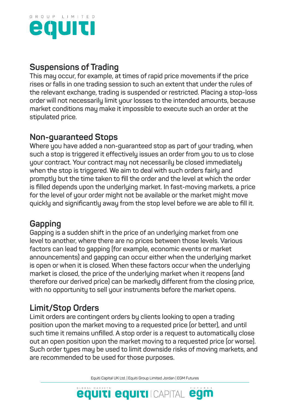

#### **Suspensions of Trading**

**This may occur, for example, at times of rapid price movements if the price rises or falls in one trading session to such an extent that under the rules of the relevant exchange, trading is suspended or restricted. Placing a stop-loss order will not necessarily limit your losses to the intended amounts, because market conditions may make it impossible to execute such an order at the stipulated price.** 

### **Non-guaranteed Stops**

**Where you have added a non-guaranteed stop as part of your trading, when such a stop is triggered it effectively issues an order from you to us to close your contract. Your contract may not necessarily be closed immediately when the stop is triggered. We aim to deal with such orders fairly and promptly but the time taken to fill the order and the level at which the order is filled depends upon the underlying market. In fast-moving markets, a price for the level of your order might not be available or the market might move quickly and significantly away from the stop level before we are able to fill it.**

# **Gapping**

**Gapping is a sudden shift in the price of an underlying market from one level to another, where there are no prices between those levels. Various factors can lead to gapping (for example, economic events or market announcements) and gapping can occur either when the underlying market is open or when it is closed. When these factors occur when the underlying market is closed, the price of the underlying market when it reopens (and therefore our derived price) can be markedly different from the closing price, with no opportunity to sell your instruments before the market opens.**

# **Limit/Stop Orders**

**Limit orders are contingent orders by clients looking to open a trading position upon the market moving to a requested price (or better), and until such time it remains unfilled. A stop order is a request to automatically close out an open position upon the market moving to a requested price (or worse). Such order types may be used to limit downside risks of moving markets, and are recommended to be used for those purposes.**

Equiti Capital UK Ltd. | Equiti Group Limited Jordan | EGM Futures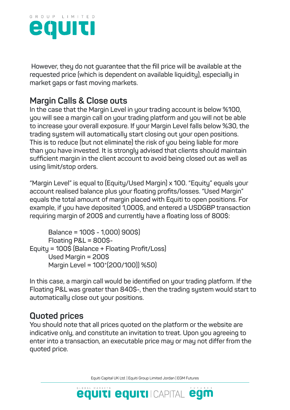

 **However, they do not guarantee that the fill price will be available at the requested price (which is dependent on available liquidity), especially in market gaps or fast moving markets.** 

# **Margin Calls & Close outs**

**In the case that the Margin Level in your trading account is below %100, you will see a margin call on your trading platform and you will not be able to increase your overall exposure. If your Margin Level falls below %30, the trading system will automatically start closing out your open positions. This is to reduce (but not eliminate) the risk of you being liable for more than you have invested. It is strongly advised that clients should maintain sufficient margin in the client account to avoid being closed out as well as using limit/stop orders.**

**"Margin Level" is equal to (Equity/Used Margin) x 100. "Equity" equals your account realised balance plus your floating profits/losses. "Used Margin" equals the total amount of margin placed with Equiti to open positions. For example, if you have deposited 1,000\$, and entered a USDGBP transaction requiring margin of 200\$ and currently have a floating loss of 800\$:**

```
 Balance = 100$ - 1,000( 900$)
       Floating P&L = 800$-
Equity = 100$ (Balance + Floating Profit/Loss)
       Used Margin = 200$
      Margin Level = 100*(200/100)) %50)
```
**In this case, a margin call would be identified on your trading platform. If the Floating P&L was greater than 840\$-, then the trading system would start to automatically close out your positions.** 

# **Quoted prices**

**You should note that all prices quoted on the platform or the website are indicative only, and constitute an invitation to treat. Upon you agreeing to enter into a transaction, an executable price may or may not differ from the quoted price.** 

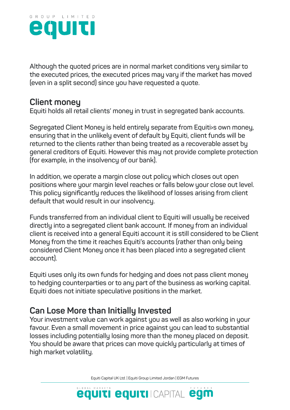

**Although the quoted prices are in normal market conditions very similar to the executed prices, the executed prices may vary if the market has moved (even in a split second) since you have requested a quote.** 

#### **Client money**

**Equiti holds all retail clients' money in trust in segregated bank accounts.** 

**Segregated Client Money is held entirely separate from Equiti›s own money, ensuring that in the unlikely event of default by Equiti, client funds will be returned to the clients rather than being treated as a recoverable asset by general creditors of Equiti. However this may not provide complete protection (for example, in the insolvency of our bank).**

**In addition, we operate a margin close out policy which closes out open positions where your margin level reaches or falls below your close out level. This policy significantly reduces the likelihood of losses arising from client default that would result in our insolvency.**

**Funds transferred from an individual client to Equiti will usually be received directly into a segregated client bank account. If money from an individual client is received into a general Equiti account it is still considered to be Client Money from the time it reaches Equiti's accounts (rather than only being considered Client Money once it has been placed into a segregated client account).**

**Equiti uses only its own funds for hedging and does not pass client money to hedging counterparties or to any part of the business as working capital. Equiti does not initiate speculative positions in the market.**

# **Can Lose More than Initially Invested**

**Your investment value can work against you as well as also working in your favour. Even a small movement in price against you can lead to substantial losses including potentially losing more than the money placed on deposit. You should be aware that prices can move quickly particularly at times of high market volatility.** 

Equiti Capital UK Ltd. | Equiti Group Limited Jordan | EGM Futures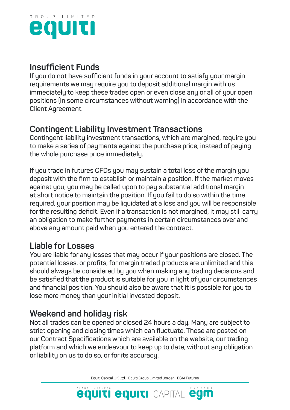

# **Insufficient Funds**

**If you do not have sufficient funds in your account to satisfy your margin requirements we may require you to deposit additional margin with us immediately to keep these trades open or even close any or all of your open positions (in some circumstances without warning) in accordance with the Client Agreement.** 

# **Contingent Liability Investment Transactions**

**Contingent liability investment transactions, which are margined, require you to make a series of payments against the purchase price, instead of paying the whole purchase price immediately.**

**If you trade in futures CFDs you may sustain a total loss of the margin you deposit with the firm to establish or maintain a position. If the market moves against you, you may be called upon to pay substantial additional margin at short notice to maintain the position. If you fail to do so within the time required, your position may be liquidated at a loss and you will be responsible for the resulting deficit. Even if a transaction is not margined, it may still carry an obligation to make further payments in certain circumstances over and above any amount paid when you entered the contract.**

# **Liable for Losses**

**You are liable for any losses that may occur if your positions are closed. The potential losses, or profits, for margin traded products are unlimited and this should always be considered by you when making any trading decisions and be satisfied that the product is suitable for you in light of your circumstances and financial position. You should also be aware that it is possible for you to lose more money than your initial invested deposit.** 

# **Weekend and holiday risk**

**Not all trades can be opened or closed 24 hours a day. Many are subject to strict opening and closing times which can fluctuate. These are posted on our Contract Specifications which are available on the website, our trading platform and which we endeavour to keep up to date, without any obligation or liability on us to do so, or for its accuracy.** 

Equiti Capital UK Ltd. | Equiti Group Limited Jordan | EGM Futures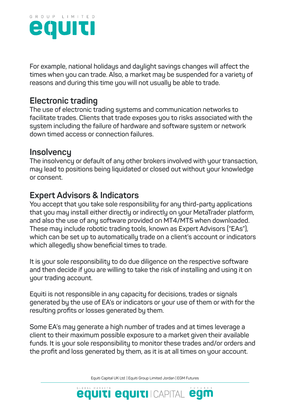

**For example, national holidays and daylight savings changes will affect the times when you can trade. Also, a market may be suspended for a variety of reasons and during this time you will not usually be able to trade.**

#### **Electronic trading**

**The use of electronic trading systems and communication networks to facilitate trades. Clients that trade exposes you to risks associated with the system including the failure of hardware and software system or network down timed access or connection failures.**

#### **Insolvency**

**The insolvency or default of any other brokers involved with your transaction, may lead to positions being liquidated or closed out without your knowledge or consent.**

### **Expert Advisors & Indicators**

**You accept that you take sole responsibility for any third-party applications that you may install either directly or indirectly on your MetaTrader platform, and also the use of any software provided on MT4/MT5 when downloaded. These may include robotic trading tools, known as Expert Advisors ("EAs"), which can be set up to automatically trade on a client's account or indicators which allegedly show beneficial times to trade.**

**It is your sole responsibility to do due diligence on the respective software and then decide if you are willing to take the risk of installing and using it on your trading account.**

**Equiti is not responsible in any capacity for decisions, trades or signals generated by the use of EA's or indicators or your use of them or with for the resulting profits or losses generated by them.**

**Some EA's may generate a high number of trades and at times leverage a client to their maximum possible exposure to a market given their available funds. It is your sole responsibility to monitor these trades and/or orders and the profit and loss generated by them, as it is at all times on your account.**